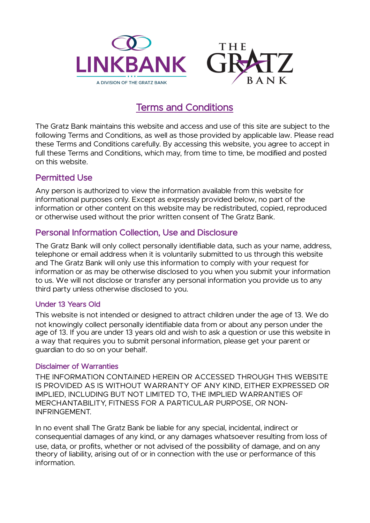

# Terms and Conditions

The Gratz Bank maintains this website and access and use of this site are subject to the following Terms and Conditions, as well as those provided by applicable law. Please read these Terms and Conditions carefully. By accessing this website, you agree to accept in full these Terms and Conditions, which may, from time to time, be modified and posted on this website.

# Permitted Use

Any person is authorized to view the information available from this website for informational purposes only. Except as expressly provided below, no part of the information or other content on this website may be redistributed, copied, reproduced or otherwise used without the prior written consent of The Gratz Bank.

## Personal Information Collection, Use and Disclosure

The Gratz Bank will only collect personally identifiable data, such as your name, address, telephone or email address when it is voluntarily submitted to us through this website and The Gratz Bank will only use this information to comply with your request for information or as may be otherwise disclosed to you when you submit your information to us. We will not disclose or transfer any personal information you provide us to any third party unless otherwise disclosed to you.

## Under 13 Years Old

This website is not intended or designed to attract children under the age of 13. We do not knowingly collect personally identifiable data from or about any person under the age of 13. If you are under 13 years old and wish to ask a question or use this website in a way that requires you to submit personal information, please get your parent or guardian to do so on your behalf.

#### Disclaimer of Warranties

THE INFORMATION CONTAINED HEREIN OR ACCESSED THROUGH THIS WEBSITE IS PROVIDED AS IS WITHOUT WARRANTY OF ANY KIND, EITHER EXPRESSED OR IMPLIED, INCLUDING BUT NOT LIMITED TO, THE IMPLIED WARRANTIES OF MERCHANTABILITY, FITNESS FOR A PARTICULAR PURPOSE, OR NON-INFRINGEMENT.

In no event shall The Gratz Bank be liable for any special, incidental, indirect or consequential damages of any kind, or any damages whatsoever resulting from loss of use, data, or profits, whether or not advised of the possibility of damage, and on any theory of liability, arising out of or in connection with the use or performance of this information.